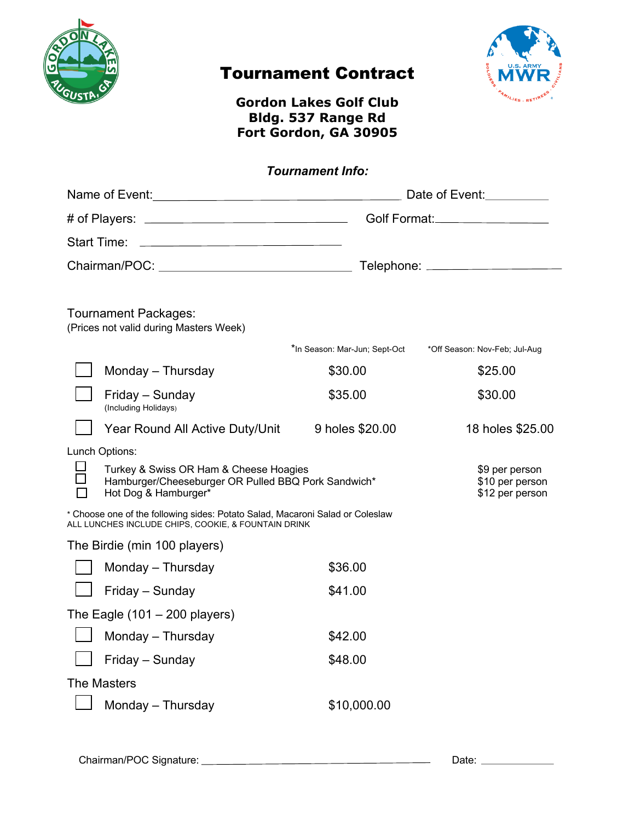

# Tournament Contract



# **Gordon Lakes Golf Club Bldg. 537 Range Rd Fort Gordon, GA 30905**

# *Tournament Info:*

|                                                                                                                                                                                                                                                            |                                                                                                                       | Date of Event:                |                                                      |
|------------------------------------------------------------------------------------------------------------------------------------------------------------------------------------------------------------------------------------------------------------|-----------------------------------------------------------------------------------------------------------------------|-------------------------------|------------------------------------------------------|
|                                                                                                                                                                                                                                                            |                                                                                                                       |                               |                                                      |
| <b>Start Time:</b><br><u> 1989 - Johann Stoff, deutscher Stoffen und der Stoffen und der Stoffen und der Stoffen und der Stoffen und der Stoffen und der Stoffen und der Stoffen und der Stoffen und der Stoffen und der Stoffen und der Stoffen und d</u> |                                                                                                                       |                               |                                                      |
|                                                                                                                                                                                                                                                            |                                                                                                                       |                               |                                                      |
| Tournament Packages:<br>(Prices not valid during Masters Week)                                                                                                                                                                                             |                                                                                                                       |                               |                                                      |
|                                                                                                                                                                                                                                                            |                                                                                                                       | *In Season: Mar-Jun; Sept-Oct | *Off Season: Nov-Feb; Jul-Aug                        |
|                                                                                                                                                                                                                                                            | Monday - Thursday                                                                                                     | \$30.00                       | \$25.00                                              |
|                                                                                                                                                                                                                                                            | Friday - Sunday<br>(Including Holidays)                                                                               | \$35.00                       | \$30.00                                              |
|                                                                                                                                                                                                                                                            | Year Round All Active Duty/Unit                                                                                       | 9 holes \$20.00               | 18 holes \$25.00                                     |
| Lunch Options:                                                                                                                                                                                                                                             |                                                                                                                       |                               |                                                      |
|                                                                                                                                                                                                                                                            | Turkey & Swiss OR Ham & Cheese Hoagies<br>Hamburger/Cheeseburger OR Pulled BBQ Pork Sandwich*<br>Hot Dog & Hamburger* |                               | \$9 per person<br>\$10 per person<br>\$12 per person |
| * Choose one of the following sides: Potato Salad, Macaroni Salad or Coleslaw<br>ALL LUNCHES INCLUDE CHIPS, COOKIE, & FOUNTAIN DRINK                                                                                                                       |                                                                                                                       |                               |                                                      |
| The Birdie (min 100 players)                                                                                                                                                                                                                               |                                                                                                                       |                               |                                                      |
|                                                                                                                                                                                                                                                            | Monday - Thursday                                                                                                     | \$36.00                       |                                                      |
|                                                                                                                                                                                                                                                            | Friday - Sunday                                                                                                       | \$41.00                       |                                                      |
| The Eagle $(101 - 200$ players)                                                                                                                                                                                                                            |                                                                                                                       |                               |                                                      |
|                                                                                                                                                                                                                                                            | Monday - Thursday                                                                                                     | \$42.00                       |                                                      |
|                                                                                                                                                                                                                                                            | Friday - Sunday                                                                                                       | \$48.00                       |                                                      |
| <b>The Masters</b>                                                                                                                                                                                                                                         |                                                                                                                       |                               |                                                      |
|                                                                                                                                                                                                                                                            | Monday - Thursday                                                                                                     | \$10,000.00                   |                                                      |